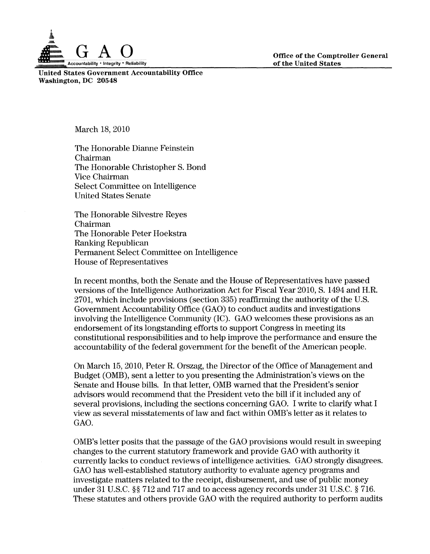

Office of the Comptroller General of the United States

United States Government Accountability Office Washington, DC 20548

March 18, 2010

The Honorable Dianne Feinstein Chairman The Honorable Christopher S. Bond Vice Chairman Select Committee on Intelligence United States Senate

The Honorable Silvestre Reyes Chairman The Honorable Peter Hoekstra Ranking Republican Permanent Select Committee on Intelligence House of Representatives

In recent months, both the Senate and the House of Representatives have passed versions of the Intelligence Authorization Act for Fiscal Year 2010, S. 1494 and H.R. 2701, which include provisions (section 335) reaffirming the authority of the U.S. Government Accountability Office (GAO) to conduct audits and investigations involving the Intelligence Community (IC). GAO welcomes these provisions as an endorsement of its longstanding efforts to support Congress in meeting its constitutional responsibilities and to help improve the performance and ensure the accountability of the federal government for the benefit of the American people.

On March 15, 2010, Peter R. Orszag, the Director of the Office of Management and Budget (OMB), sent a letter to you presenting the Administration's views on the Senate and House bills. In that letter, OMB warned that the President's senior advisors would recommend that the President veto the bill if it included any of several provisions, including the sections concerning GAO. I write to clarify what I view as several misstatements of law and fact within OMB's letter as it relates to GAO.

OMB's letter posits that the passage of the GAO provisions would result in sweeping changes to the current statutory framework and provide GAO with authority it currently lacks to conduct reviews of intelligence activities. GAO strongly disagrees. GAO has well-established statutory authority to evaluate agency programs and investigate matters related to the receipt, disbursement, and use of public money under 31 U.S.C. §§ 712 and 717 and to access agency records under 31 U.S.C. § 716. These statutes and others provide GAO with the required authority to perform audits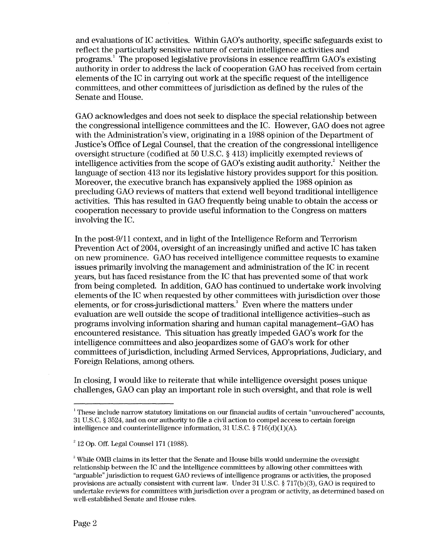and evaluations of IC activities. Within GAO's authority, specific safeguards exist to reflect the particularly sensitive nature of certain intelligence activities and programs.<sup>1</sup> The proposed legislative provisions in essence reaffirm GAO's existing authority in order to address the lack of cooperation GAO has received from certain elements of the IC in carrying out work at the specific request of the intelligence committees, and other committees of jurisdiction as defined by the rules of the Senate and House.

GAO acknowledges and does not seek to displace the special relationship between the congressional intelligence committees and the IC. However, GAO does not agree with the Administration's view, originating in a 1988 opinion of the Department of Justice's Office of Legal Counsel, that the creation of the congressional intelligence oversight structure (codified at 50 U.S.C. § 413) implicitly exempted reviews of intelligence activities from the scope of  $GAO$ 's existing audit authority.<sup>2</sup> Neither the language of section 413 nor its legislative history provides support for this position. Moreover, the executive branch has expansively applied the 1988 opinion as precluding GAO reviews of matters that extend well beyond traditional intelligence activities. This has resulted in GAO frequently being unable to obtain the access or cooperation necessary to provide useful information to the Congress on matters involving the IC.

In the post-9/11 context, and in light of the Intelligence Reform and Terrorism Prevention Act of 2004, oversight of an increasingly unified and active IC has taken on new prominence. GAO has received intelligence committee requests to examine issues primarily involving the management and administration of the IC in recent years, but has faced resistance from the IC that has prevented some of that work from being completed. In addition, GAO has continued to undertake work involving elements of the IC when requested by other committees with jurisdiction over those elements, or for cross-jurisdictional matters.<sup>3</sup> Even where the matters under evaluation are well outside the scope of traditional intelligence activities--such as programs involving information sharing and human capital management--GAO has encountered resistance. This situation has greatly impeded GAO's work for the intelligence committees and also jeopardizes some of GAO's work for other committees of jurisdiction, including Armed Services, Appropriations, Judiciary, and Foreign Relations, among others.

In closing, I would like to reiterate that while intelligence oversight poses unique challenges, GAO can play an important role in such oversight, and that role is well

<sup>&</sup>lt;sup>1</sup> These include narrow statutory limitations on our financial audits of certain "unvouchered" accounts, 31 U.S.C. § 3524, and on our authority to file a civil action to compel access to certain foreign intelligence and counterintelligence information, 31 U.S.C. § 716(d)(1)(A).

 $2^{2}$  12 Op. Off. Legal Counsel 171 (1988).

 $\beta$  While OMB claims in its letter that the Senate and House bills would undermine the oversight relationship between the IC and the intelligence committees by allowing other committees with "arguable" jurisdiction to request GAO reviews of intelligence programs or activities, the proposed provisions are actually consistent with current law. Under  $31$  U.S.C. §  $717(b)(3)$ , GAO is required to undertake reviews for committees with jurisdiction over a program or activity, as determined based on well-established Senate and House rules.